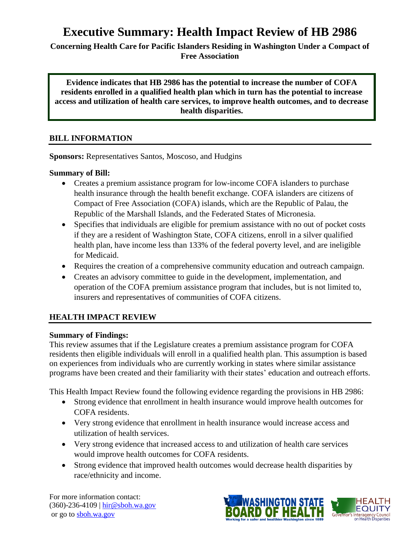# **Executive Summary: Health Impact Review of HB 2986**

**Concerning Health Care for Pacific Islanders Residing in Washington Under a Compact of Free Association**

**Evidence indicates that HB 2986 has the potential to increase the number of COFA residents enrolled in a qualified health plan which in turn has the potential to increase access and utilization of health care services, to improve health outcomes, and to decrease health disparities.**

## **BILL INFORMATION**

**Sponsors:** Representatives Santos, Moscoso, and Hudgins

#### **Summary of Bill:**

- Creates a premium assistance program for low-income COFA islanders to purchase health insurance through the health benefit exchange. COFA islanders are citizens of Compact of Free Association (COFA) islands, which are the Republic of Palau, the Republic of the Marshall Islands, and the Federated States of Micronesia.
- Specifies that individuals are eligible for premium assistance with no out of pocket costs if they are a resident of Washington State, COFA citizens, enroll in a silver qualified health plan, have income less than 133% of the federal poverty level, and are ineligible for Medicaid.
- Requires the creation of a comprehensive community education and outreach campaign.
- Creates an advisory committee to guide in the development, implementation, and operation of the COFA premium assistance program that includes, but is not limited to, insurers and representatives of communities of COFA citizens.

# **HEALTH IMPACT REVIEW**

#### **Summary of Findings:**

This review assumes that if the Legislature creates a premium assistance program for COFA residents then eligible individuals will enroll in a qualified health plan. This assumption is based on experiences from individuals who are currently working in states where similar assistance programs have been created and their familiarity with their states' education and outreach efforts.

This Health Impact Review found the following evidence regarding the provisions in HB 2986:

- Strong evidence that enrollment in health insurance would improve health outcomes for COFA residents.
- Very strong evidence that enrollment in health insurance would increase access and utilization of health services.
- Very strong evidence that increased access to and utilization of health care services would improve health outcomes for COFA residents.
- Strong evidence that improved health outcomes would decrease health disparities by race/ethnicity and income.

For more information contact: (360)-236-4109 | [hir@sboh.wa.gov](mailto:hir@sboh.wa.gov) or go t[o sboh.wa.gov](http://sboh.wa.gov/)

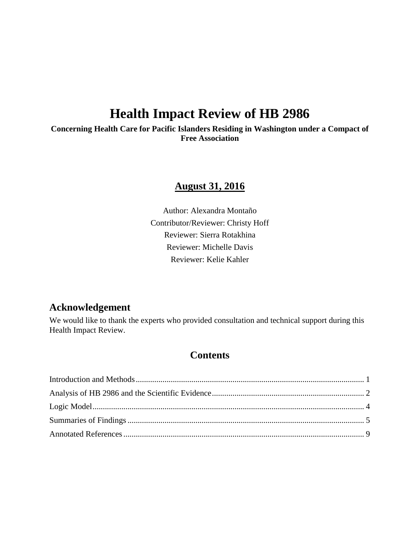# **Health Impact Review of HB 2986**

**Concerning Health Care for Pacific Islanders Residing in Washington under a Compact of Free Association**

# **August 31, 2016**

Author: Alexandra Montaño Contributor/Reviewer: Christy Hoff Reviewer: Sierra Rotakhina Reviewer: Michelle Davis Reviewer: Kelie Kahler

# **Acknowledgement**

We would like to thank the experts who provided consultation and technical support during this Health Impact Review.

# **Contents**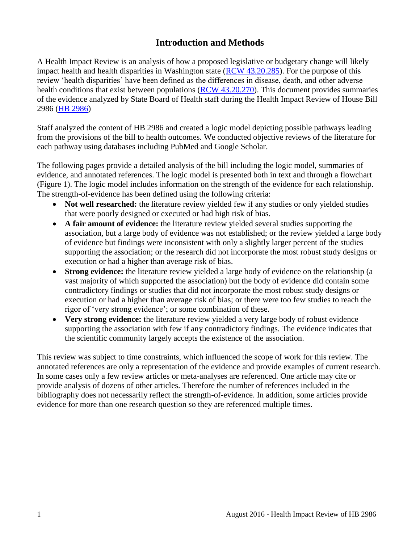# **Introduction and Methods**

<span id="page-2-0"></span>A Health Impact Review is an analysis of how a proposed legislative or budgetary change will likely impact health and health disparities in Washington state [\(RCW 43.20.285\)](http://apps.leg.wa.gov/rcw/default.aspx?cite=43.20.285). For the purpose of this review 'health disparities' have been defined as the differences in disease, death, and other adverse health conditions that exist between populations [\(RCW 43.20.270\)](http://apps.leg.wa.gov/rcw/default.aspx?cite=43.20.270). This document provides summaries of the evidence analyzed by State Board of Health staff during the Health Impact Review of House Bill 2986 [\(HB 2986\)](http://app.leg.wa.gov/billinfo/summary.aspx?bill=2986&year=2015)

Staff analyzed the content of HB 2986 and created a logic model depicting possible pathways leading from the provisions of the bill to health outcomes. We conducted objective reviews of the literature for each pathway using databases including PubMed and Google Scholar.

The following pages provide a detailed analysis of the bill including the logic model, summaries of evidence, and annotated references. The logic model is presented both in text and through a flowchart (Figure 1). The logic model includes information on the strength of the evidence for each relationship. The strength-of-evidence has been defined using the following criteria:

- Not well researched: the literature review yielded few if any studies or only yielded studies that were poorly designed or executed or had high risk of bias.
- **A fair amount of evidence:** the literature review yielded several studies supporting the association, but a large body of evidence was not established; or the review yielded a large body of evidence but findings were inconsistent with only a slightly larger percent of the studies supporting the association; or the research did not incorporate the most robust study designs or execution or had a higher than average risk of bias.
- **Strong evidence:** the literature review yielded a large body of evidence on the relationship (a vast majority of which supported the association) but the body of evidence did contain some contradictory findings or studies that did not incorporate the most robust study designs or execution or had a higher than average risk of bias; or there were too few studies to reach the rigor of 'very strong evidence'; or some combination of these.
- **Very strong evidence:** the literature review yielded a very large body of robust evidence supporting the association with few if any contradictory findings. The evidence indicates that the scientific community largely accepts the existence of the association.

This review was subject to time constraints, which influenced the scope of work for this review. The annotated references are only a representation of the evidence and provide examples of current research. In some cases only a few review articles or meta-analyses are referenced. One article may cite or provide analysis of dozens of other articles. Therefore the number of references included in the bibliography does not necessarily reflect the strength-of-evidence. In addition, some articles provide evidence for more than one research question so they are referenced multiple times.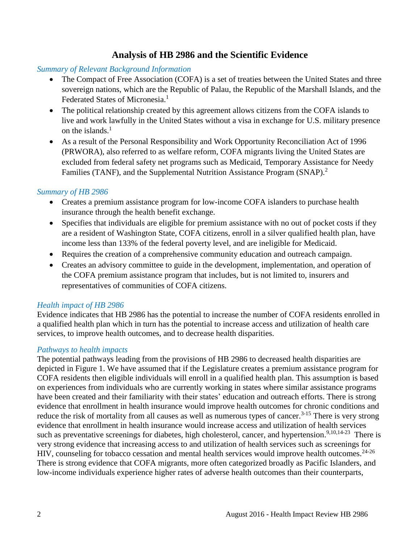# **Analysis of HB 2986 and the Scientific Evidence**

#### <span id="page-3-0"></span>*Summary of Relevant Background Information*

- The Compact of Free Association (COFA) is a set of treaties between the United States and three sovereign nations, which are the Republic of Palau, the Republic of the Marshall Islands, and the Federated States of Micronesia.<sup>[1](#page-10-1)</sup>
- The political relationship created by this agreement allows citizens from the COFA islands to live and work lawfully in the United States without a visa in exchange for U.S. military presence on the islands. [1](#page-10-1)
- As a result of the Personal Responsibility and Work Opportunity Reconciliation Act of 1996 (PRWORA), also referred to as welfare reform, COFA migrants living the United States are excluded from federal safety net programs such as Medicaid, Temporary Assistance for Needy Families (TANF), and the Supplemental Nutrition Assistance Program (SNAP).<sup>[2](#page-10-2)</sup>

#### *Summary of HB 2986*

- Creates a premium assistance program for low-income COFA islanders to purchase health insurance through the health benefit exchange.
- Specifies that individuals are eligible for premium assistance with no out of pocket costs if they are a resident of Washington State, COFA citizens, enroll in a silver qualified health plan, have income less than 133% of the federal poverty level, and are ineligible for Medicaid.
- Requires the creation of a comprehensive community education and outreach campaign.
- Creates an advisory committee to guide in the development, implementation, and operation of the COFA premium assistance program that includes, but is not limited to, insurers and representatives of communities of COFA citizens.

#### *Health impact of HB 2986*

Evidence indicates that HB 2986 has the potential to increase the number of COFA residents enrolled in a qualified health plan which in turn has the potential to increase access and utilization of health care services, to improve health outcomes, and to decrease health disparities.

#### *Pathways to health impacts*

The potential pathways leading from the provisions of HB 2986 to decreased health disparities are depicted in Figure 1. We have assumed that if the Legislature creates a premium assistance program for COFA residents then eligible individuals will enroll in a qualified health plan. This assumption is based on experiences from individuals who are currently working in states where similar assistance programs have been created and their familiarity with their states' education and outreach efforts. There is strong evidence that enrollment in health insurance would improve health outcomes for chronic conditions and reduce the risk of mortality from all causes as well as numerous types of cancer.<sup>[3-15](#page-10-3)</sup> There is very strong evidence that enrollment in health insurance would increase access and utilization of health services such as preventative screenings for diabetes, high cholesterol, cancer, and hypertension.<sup>[9,](#page-13-0)[10](#page-14-0)[,14-23](#page-15-0)</sup> There is very strong evidence that increasing access to and utilization of health services such as screenings for HIV, counseling for tobacco cessation and mental health services would improve health outcomes.<sup>[24-26](#page-20-0)</sup> There is strong evidence that COFA migrants, more often categorized broadly as Pacific Islanders, and low-income individuals experience higher rates of adverse health outcomes than their counterparts,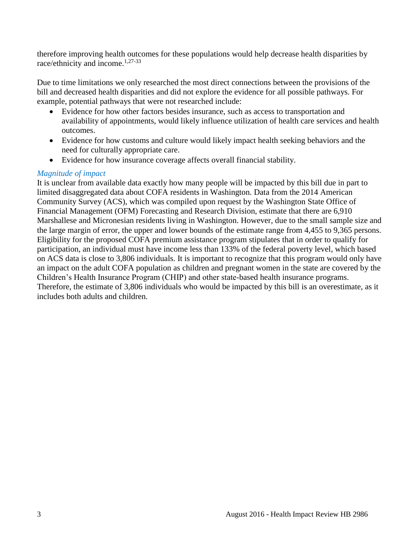therefore improving health outcomes for these populations would help decrease health disparities by race/ethnicity and income.<sup>[1](#page-10-1)[,27-33](#page-21-0)</sup>

Due to time limitations we only researched the most direct connections between the provisions of the bill and decreased health disparities and did not explore the evidence for all possible pathways. For example, potential pathways that were not researched include:

- Evidence for how other factors besides insurance, such as access to transportation and availability of appointments, would likely influence utilization of health care services and health outcomes.
- Evidence for how customs and culture would likely impact health seeking behaviors and the need for culturally appropriate care.
- Evidence for how insurance coverage affects overall financial stability.

## *Magnitude of impact*

It is unclear from available data exactly how many people will be impacted by this bill due in part to limited disaggregated data about COFA residents in Washington. Data from the 2014 American Community Survey (ACS), which was compiled upon request by the Washington State Office of Financial Management (OFM) Forecasting and Research Division, estimate that there are 6,910 Marshallese and Micronesian residents living in Washington. However, due to the small sample size and the large margin of error, the upper and lower bounds of the estimate range from 4,455 to 9,365 persons. Eligibility for the proposed COFA premium assistance program stipulates that in order to qualify for participation, an individual must have income less than 133% of the federal poverty level, which based on ACS data is close to 3,806 individuals. It is important to recognize that this program would only have an impact on the adult COFA population as children and pregnant women in the state are covered by the Children's Health Insurance Program (CHIP) and other state-based health insurance programs. Therefore, the estimate of 3,806 individuals who would be impacted by this bill is an overestimate, as it includes both adults and children.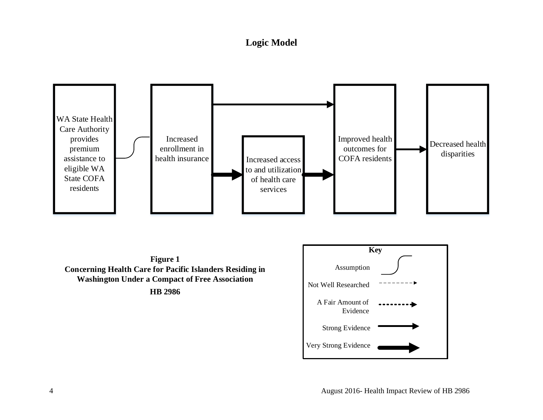# **Logic Model**

<span id="page-5-0"></span>

**HB 2986**

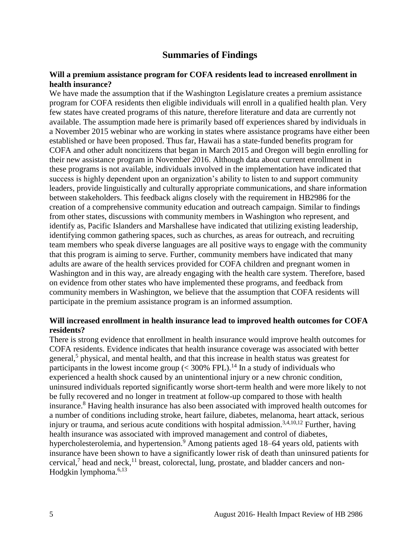# **Summaries of Findings**

#### <span id="page-6-0"></span>**Will a premium assistance program for COFA residents lead to increased enrollment in health insurance?**

We have made the assumption that if the Washington Legislature creates a premium assistance program for COFA residents then eligible individuals will enroll in a qualified health plan. Very few states have created programs of this nature, therefore literature and data are currently not available. The assumption made here is primarily based off experiences shared by individuals in a November 2015 webinar who are working in states where assistance programs have either been established or have been proposed. Thus far, Hawaii has a state-funded benefits program for COFA and other adult noncitizens that began in March 2015 and Oregon will begin enrolling for their new assistance program in November 2016. Although data about current enrollment in these programs is not available, individuals involved in the implementation have indicated that success is highly dependent upon an organization's ability to listen to and support community leaders, provide linguistically and culturally appropriate communications, and share information between stakeholders. This feedback aligns closely with the requirement in HB2986 for the creation of a comprehensive community education and outreach campaign. Similar to findings from other states, discussions with community members in Washington who represent, and identify as, Pacific Islanders and Marshallese have indicated that utilizing existing leadership, identifying common gathering spaces, such as churches, as areas for outreach, and recruiting team members who speak diverse languages are all positive ways to engage with the community that this program is aiming to serve. Further, community members have indicated that many adults are aware of the health services provided for COFA children and pregnant women in Washington and in this way, are already engaging with the health care system. Therefore, based on evidence from other states who have implemented these programs, and feedback from community members in Washington, we believe that the assumption that COFA residents will participate in the premium assistance program is an informed assumption.

#### **Will increased enrollment in health insurance lead to improved health outcomes for COFA residents?**

There is strong evidence that enrollment in health insurance would improve health outcomes for COFA residents. Evidence indicates that health insurance coverage was associated with better general,<sup>[5](#page-11-0)</sup> physical, and mental health, and that this increase in health status was greatest for participants in the lowest income group  $(< 300\%$  FPL).<sup>[14](#page-15-0)</sup> In a study of individuals who experienced a health shock caused by an unintentional injury or a new chronic condition, uninsured individuals reported significantly worse short-term health and were more likely to not be fully recovered and no longer in treatment at follow-up compared to those with health insurance.[8](#page-13-1) Having health insurance has also been associated with improved health outcomes for a number of conditions including stroke, heart failure, diabetes, melanoma, heart attack, serious injury or trauma, and serious acute conditions with hospital admission.<sup>[3,](#page-10-3)[4,](#page-11-1)[10,](#page-14-0)[12](#page-14-1)</sup> Further, having health insurance was associated with improved management and control of diabetes, hypercholesterolemia, and hypertension.<sup>[9](#page-13-0)</sup> Among patients aged 18–64 years old, patients with insurance have been shown to have a significantly lower risk of death than uninsured patients for cervical,<sup>[7](#page-12-0)</sup> head and neck,<sup>[11](#page-14-2)</sup> breast, colorectal, lung, prostate, and bladder cancers and non-Hodgkin lymphoma. $6,13$  $6,13$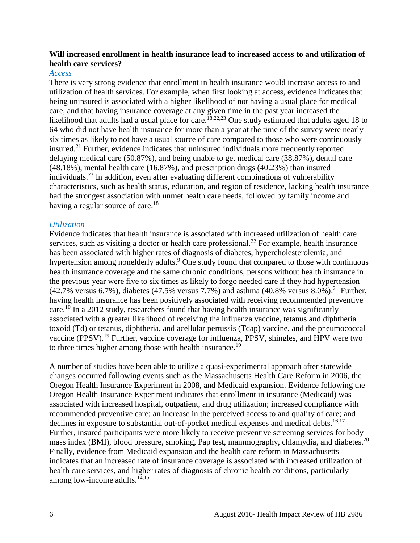#### **Will increased enrollment in health insurance lead to increased access to and utilization of health care services?**

#### *Access*

There is very strong evidence that enrollment in health insurance would increase access to and utilization of health services. For example, when first looking at access, evidence indicates that being uninsured is associated with a higher likelihood of not having a usual place for medical care, and that having insurance coverage at any given time in the past year increased the likelihood that adults had a usual place for care.<sup>[18,](#page-17-0)[22,](#page-19-0)[23](#page-20-1)</sup> One study estimated that adults aged 18 to 64 who did not have health insurance for more than a year at the time of the survey were nearly six times as likely to not have a usual source of care compared to those who were continuously insured. [21](#page-19-1) Further, evidence indicates that uninsured individuals more frequently reported delaying medical care (50.87%), and being unable to get medical care (38.87%), dental care (48.18%), mental health care (16.87%), and prescription drugs (40.23%) than insured individuals. [23](#page-20-1) In addition, even after evaluating different combinations of vulnerability characteristics, such as health status, education, and region of residence, lacking health insurance had the strongest association with unmet health care needs, followed by family income and having a regular source of care.<sup>[18](#page-17-0)</sup>

#### *Utilization*

Evidence indicates that health insurance is associated with increased utilization of health care services, such as visiting a doctor or health care professional.<sup>[22](#page-19-0)</sup> For example, health insurance has been associated with higher rates of diagnosis of diabetes, hypercholesterolemia, and hypertension among nonelderly adults[.](#page-13-0)<sup>9</sup> One study found that compared to those with continuous health insurance coverage and the same chronic conditions, persons without health insurance in the previous year were five to six times as likely to forgo needed care if they had hypertension  $(42.7\% \text{ versus } 6.7\%)$ , diabetes  $(47.5\% \text{ versus } 7.7\%)$  and asthma  $(40.8\% \text{ versus } 8.0\%)$ .<sup>[21](#page-19-1)</sup> Further, having health insurance has been positively associated with receiving recommended preventive care.<sup>[10](#page-14-0)</sup> In a 2012 study, researchers found that having health insurance was significantly associated with a greater likelihood of receiving the influenza vaccine, tetanus and diphtheria toxoid (Td) or tetanus, diphtheria, and acellular pertussis (Tdap) vaccine, and the pneumococcal vaccine (PPSV).<sup>[19](#page-18-0)</sup> Further, vaccine coverage for influenza, PPSV, shingles, and HPV were two to three times higher among those with health insurance.<sup>[19](#page-18-0)</sup>

A number of studies have been able to utilize a quasi-experimental approach after statewide changes occurred following events such as the Massachusetts Health Care Reform in 2006, the Oregon Health Insurance Experiment in 2008, and Medicaid expansion. Evidence following the Oregon Health Insurance Experiment indicates that enrollment in insurance (Medicaid) was associated with increased hospital, outpatient, and drug utilization; increased compliance with recommended preventive care; an increase in the perceived access to and quality of care; and declines in exposure to substantial out-of-pocket medical expenses and medical debts.<sup>[16](#page-16-0)[,17](#page-17-1)</sup> Further, insured participants were more likely to receive preventive screening services for body mass index (BMI), blood pressure, smoking, Pap test, mammography, chlamydia, and diabetes.<sup>[20](#page-18-1)</sup> Finally, evidence from Medicaid expansion and the health care reform in Massachusetts indicates that an increased rate of insurance coverage is associated with increased utilization of health care services, and higher rates of diagnosis of chronic health conditions, particularly among low-income adults.<sup>[14,](#page-15-0)[15](#page-16-1)</sup>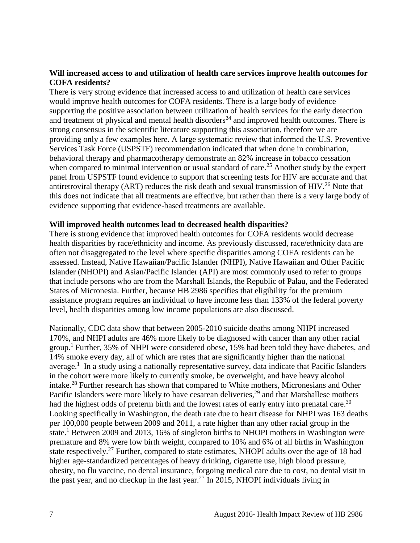#### **Will increased access to and utilization of health care services improve health outcomes for COFA residents?**

There is very strong evidence that increased access to and utilization of health care services would improve health outcomes for COFA residents. There is a large body of evidence supporting the positive association between utilization of health services for the early detection and treatment of physical and mental health disorders<sup>[24](#page-20-0)</sup> and improved health outcomes. There is strong consensus in the scientific literature supporting this association, therefore we are providing only a few examples here. A large systematic review that informed the U.S. Preventive Services Task Force (USPSTF) recommendation indicated that when done in combination, behavioral therapy and pharmacotherapy demonstrate an 82% increase in tobacco cessation when compared to minimal intervention or usual standard of care.<sup>[25](#page-20-2)</sup> Another study by the expert panel from USPSTF found evidence to support that screening tests for HIV are accurate and that antiretroviral therapy (ART) reduces the risk death and sexual transmission of HIV.<sup>[26](#page-21-1)</sup> Note that this does not indicate that all treatments are effective, but rather than there is a very large body of evidence supporting that evidence-based treatments are available.

#### **Will improved health outcomes lead to decreased health disparities?**

There is strong evidence that improved health outcomes for COFA residents would decrease health disparities by race/ethnicity and income. As previously discussed, race/ethnicity data are often not disaggregated to the level where specific disparities among COFA residents can be assessed. Instead, Native Hawaiian/Pacific Islander (NHPI), Native Hawaiian and Other Pacific Islander (NHOPI) and Asian/Pacific Islander (API) are most commonly used to refer to groups that include persons who are from the Marshall Islands, the Republic of Palau, and the Federated States of Micronesia. Further, because HB 2986 specifies that eligibility for the premium assistance program requires an individual to have income less than 133% of the federal poverty level, health disparities among low income populations are also discussed.

Nationally, CDC data show that between 2005-2010 suicide deaths among NHPI increased 170%, and NHPI adults are 46% more likely to be diagnosed with cancer than any other racial group.<sup>[1](#page-10-1)</sup> Further, 35% of NHPI were considered obese, 15% had been told they have diabetes, and 14% smoke every day, all of which are rates that are significantly higher than the national average.<sup>[1](#page-10-1)</sup> In a study using a nationally representative survey, data indicate that Pacific Islanders in the cohort were more likely to currently smoke, be overweight, and have heavy alcohol intake.<sup>[28](#page-21-2)</sup> Further research has shown that compared to White mothers, Micronesians and Other Pacific Islanders were more likely to have cesarean deliveries,<sup>[29](#page-22-0)</sup> and that Marshallese mothers had the highest odds of preterm birth and the lowest rates of early entry into prenatal care.<sup>[30](#page-22-1)</sup> Looking specifically in Washington, the death rate due to heart disease for NHPI was 163 deaths per 100,000 people between 2009 and 2011, a rate higher than any other racial group in the state.<sup>[1](#page-10-1)</sup> Between 2009 and 2013, 16% of singleton births to NHOPI mothers in Washington were premature and 8% were low birth weight, compared to 10% and 6% of all births in Washington state respectively.<sup>[27](#page-21-0)</sup> Further, compared to state estimates, NHOPI adults over the age of 18 had higher age-standardized percentages of heavy drinking, cigarette use, high blood pressure, obesity, no flu vaccine, no dental insurance, forgoing medical care due to cost, no dental visit in the past year, and no checkup in the last year.<sup>[27](#page-21-0)</sup> In 2015, NHOPI individuals living in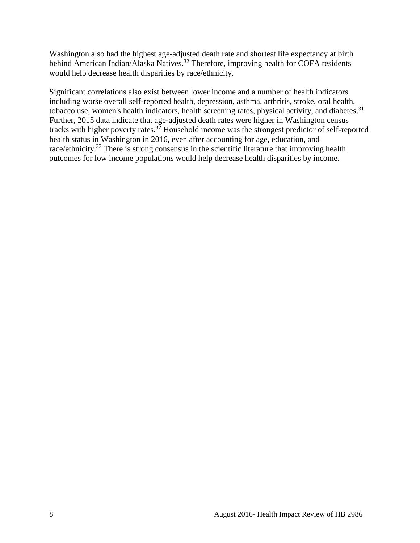Washington also had the highest age-adjusted death rate and shortest life expectancy at birth behind American Indian/Alaska Natives.<sup>[32](#page-23-0)</sup> Therefore, improving health for COFA residents would help decrease health disparities by race/ethnicity.

Significant correlations also exist between lower income and a number of health indicators including worse overall self-reported health, depression, asthma, arthritis, stroke, oral health, tobacco use, women's health indicators, health screening rates, physical activity, and diabetes.<sup>[31](#page-23-1)</sup> Further, 2015 data indicate that age-adjusted death rates were higher in Washington census tracks with higher poverty rates.<sup>[32](#page-23-0)</sup> Household income was the strongest predictor of self-reported health status in Washington in 2016, even after accounting for age, education, and race/ethnicity.<sup>[33](#page-23-2)</sup> There is strong consensus in the scientific literature that improving health outcomes for low income populations would help decrease health disparities by income.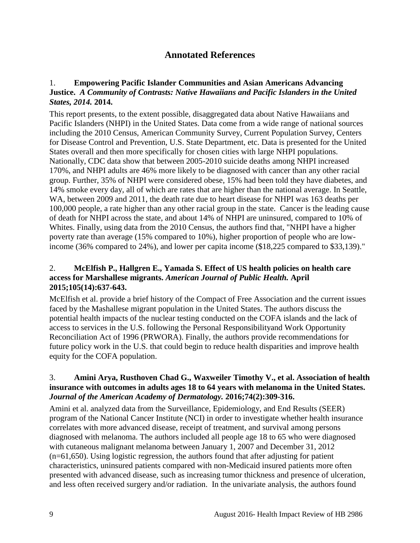# **Annotated References**

## <span id="page-10-1"></span><span id="page-10-0"></span>1. **Empowering Pacific Islander Communities and Asian Americans Advancing Justice.** *A Community of Contrasts: Native Hawaiians and Pacific Islanders in the United States, 2014.* **2014.**

This report presents, to the extent possible, disaggregated data about Native Hawaiians and Pacific Islanders (NHPI) in the United States. Data come from a wide range of national sources including the 2010 Census, American Community Survey, Current Population Survey, Centers for Disease Control and Prevention, U.S. State Department, etc. Data is presented for the United States overall and then more specifically for chosen cities with large NHPI populations. Nationally, CDC data show that between 2005-2010 suicide deaths among NHPI increased 170%, and NHPI adults are 46% more likely to be diagnosed with cancer than any other racial group. Further, 35% of NHPI were considered obese, 15% had been told they have diabetes, and 14% smoke every day, all of which are rates that are higher than the national average. In Seattle, WA, between 2009 and 2011, the death rate due to heart disease for NHPI was 163 deaths per 100,000 people, a rate higher than any other racial group in the state. Cancer is the leading cause of death for NHPI across the state, and about 14% of NHPI are uninsured, compared to 10% of Whites. Finally, using data from the 2010 Census, the authors find that, "NHPI have a higher poverty rate than average (15% compared to 10%), higher proportion of people who are lowincome (36% compared to 24%), and lower per capita income (\$18,225 compared to \$33,139)."

#### <span id="page-10-2"></span>2. **McElfish P., Hallgren E., Yamada S. Effect of US health policies on health care access for Marshallese migrants.** *American Journal of Public Health.* **April 2015;105(14):637-643.**

McElfish et al. provide a brief history of the Compact of Free Association and the current issues faced by the Mashallese migrant population in the United States. The authors discuss the potential health impacts of the nuclear testing conducted on the COFA islands and the lack of access to services in the U.S. following the Personal Responsibilityand Work Opportunity Reconciliation Act of 1996 (PRWORA). Finally, the authors provide recommendations for future policy work in the U.S. that could begin to reduce health disparities and improve health equity for the COFA population.

#### <span id="page-10-3"></span>3. **Amini Arya, Rusthoven Chad G., Waxweiler Timothy V., et al. Association of health insurance with outcomes in adults ages 18 to 64 years with melanoma in the United States.**  *Journal of the American Academy of Dermatology.* **2016;74(2):309-316.**

Amini et al. analyzed data from the Surveillance, Epidemiology, and End Results (SEER) program of the National Cancer Institute (NCI) in order to investigate whether health insurance correlates with more advanced disease, receipt of treatment, and survival among persons diagnosed with melanoma. The authors included all people age 18 to 65 who were diagnosed with cutaneous malignant melanoma between January 1, 2007 and December 31, 2012 (n=61,650). Using logistic regression, the authors found that after adjusting for patient characteristics, uninsured patients compared with non-Medicaid insured patients more often presented with advanced disease, such as increasing tumor thickness and presence of ulceration, and less often received surgery and/or radiation. In the univariate analysis, the authors found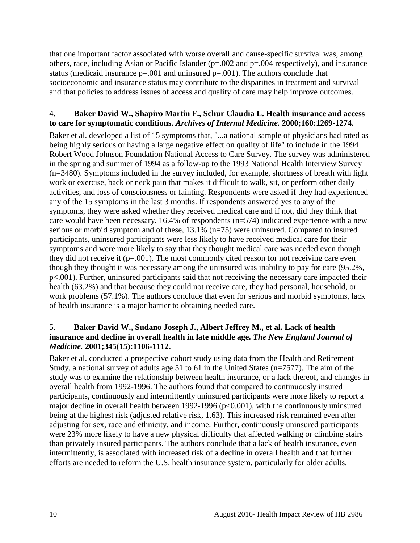that one important factor associated with worse overall and cause-specific survival was, among others, race, including Asian or Pacific Islander (p=.002 and p=.004 respectively), and insurance status (medicaid insurance  $p=.001$  and uninsured  $p=.001$ ). The authors conclude that socioeconomic and insurance status may contribute to the disparities in treatment and survival and that policies to address issues of access and quality of care may help improve outcomes.

#### <span id="page-11-1"></span>4. **Baker David W., Shapiro Martin F., Schur Claudia L. Health insurance and access to care for symptomatic conditions.** *Archives of Internal Medicine.* **2000;160:1269-1274.**

Baker et al. developed a list of 15 symptoms that, "...a national sample of physicians had rated as being highly serious or having a large negative effect on quality of life" to include in the 1994 Robert Wood Johnson Foundation National Access to Care Survey. The survey was administered in the spring and summer of 1994 as a follow-up to the 1993 National Health Interview Survey (n=3480). Symptoms included in the survey included, for example, shortness of breath with light work or exercise, back or neck pain that makes it difficult to walk, sit, or perform other daily activities, and loss of consciousness or fainting. Respondents were asked if they had experienced any of the 15 symptoms in the last 3 months. If respondents answered yes to any of the symptoms, they were asked whether they received medical care and if not, did they think that care would have been necessary. 16.4% of respondents (n=574) indicated experience with a new serious or morbid symptom and of these, 13.1% (n=75) were uninsured. Compared to insured participants, uninsured participants were less likely to have received medical care for their symptoms and were more likely to say that they thought medical care was needed even though they did not receive it  $(p=.001)$ . The most commonly cited reason for not receiving care even though they thought it was necessary among the uninsured was inability to pay for care (95.2%, p<.001). Further, uninsured participants said that not receiving the necessary care impacted their health (63.2%) and that because they could not receive care, they had personal, household, or work problems (57.1%). The authors conclude that even for serious and morbid symptoms, lack of health insurance is a major barrier to obtaining needed care.

## <span id="page-11-0"></span>5. **Baker David W., Sudano Joseph J., Albert Jeffrey M., et al. Lack of health insurance and decline in overall health in late middle age.** *The New England Journal of Medicine.* **2001;345(15):1106-1112.**

Baker et al. conducted a prospective cohort study using data from the Health and Retirement Study, a national survey of adults age 51 to 61 in the United States (n=7577). The aim of the study was to examine the relationship between health insurance, or a lack thereof, and changes in overall health from 1992-1996. The authors found that compared to continuously insured participants, continuously and intermittently uninsured participants were more likely to report a major decline in overall health between 1992-1996 ( $p<0.001$ ), with the continuously uninsured being at the highest risk (adjusted relative risk, 1.63). This increased risk remained even after adjusting for sex, race and ethnicity, and income. Further, continuously uninsured participants were 23% more likely to have a new physical difficulty that affected walking or climbing stairs than privately insured participants. The authors conclude that a lack of health insurance, even intermittently, is associated with increased risk of a decline in overall health and that further efforts are needed to reform the U.S. health insurance system, particularly for older adults.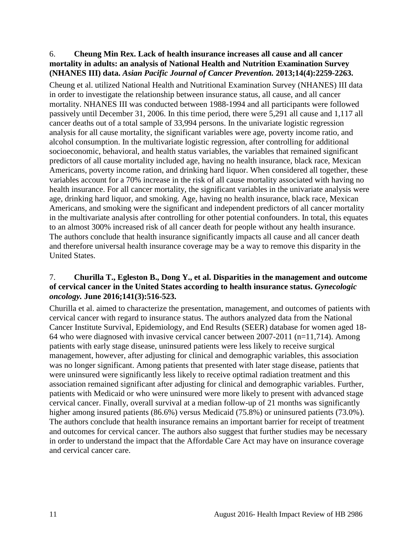## <span id="page-12-1"></span>6. **Cheung Min Rex. Lack of health insurance increases all cause and all cancer mortality in adults: an analysis of National Health and Nutrition Examination Survey (NHANES III) data.** *Asian Pacific Journal of Cancer Prevention.* **2013;14(4):2259-2263.**

Cheung et al. utilized National Health and Nutritional Examination Survey (NHANES) III data in order to investigate the relationship between insurance status, all cause, and all cancer mortality. NHANES III was conducted between 1988-1994 and all participants were followed passively until December 31, 2006. In this time period, there were 5,291 all cause and 1,117 all cancer deaths out of a total sample of 33,994 persons. In the univariate logistic regression analysis for all cause mortality, the significant variables were age, poverty income ratio, and alcohol consumption. In the multivariate logistic regression, after controlling for additional socioeconomic, behavioral, and health status variables, the variables that remained significant predictors of all cause mortality included age, having no health insurance, black race, Mexican Americans, poverty income ration, and drinking hard liquor. When considered all together, these variables account for a 70% increase in the risk of all cause mortality associated with having no health insurance. For all cancer mortality, the significant variables in the univariate analysis were age, drinking hard liquor, and smoking. Age, having no health insurance, black race, Mexican Americans, and smoking were the significant and independent predictors of all cancer mortality in the multivariate analysis after controlling for other potential confounders. In total, this equates to an almost 300% increased risk of all cancer death for people without any health insurance. The authors conclude that health insurance significantly impacts all cause and all cancer death and therefore universal health insurance coverage may be a way to remove this disparity in the United States.

## <span id="page-12-0"></span>7. **Churilla T., Egleston B., Dong Y., et al. Disparities in the management and outcome of cervical cancer in the United States according to health insurance status.** *Gynecologic oncology.* **June 2016;141(3):516-523.**

Churilla et al. aimed to characterize the presentation, management, and outcomes of patients with cervical cancer with regard to insurance status. The authors analyzed data from the National Cancer Institute Survival, Epidemiology, and End Results (SEER) database for women aged 18- 64 who were diagnosed with invasive cervical cancer between 2007-2011 (n=11,714). Among patients with early stage disease, uninsured patients were less likely to receive surgical management, however, after adjusting for clinical and demographic variables, this association was no longer significant. Among patients that presented with later stage disease, patients that were uninsured were significantly less likely to receive optimal radiation treatment and this association remained significant after adjusting for clinical and demographic variables. Further, patients with Medicaid or who were uninsured were more likely to present with advanced stage cervical cancer. Finally, overall survival at a median follow-up of 21 months was significantly higher among insured patients (86.6%) versus Medicaid (75.8%) or uninsured patients (73.0%). The authors conclude that health insurance remains an important barrier for receipt of treatment and outcomes for cervical cancer. The authors also suggest that further studies may be necessary in order to understand the impact that the Affordable Care Act may have on insurance coverage and cervical cancer care.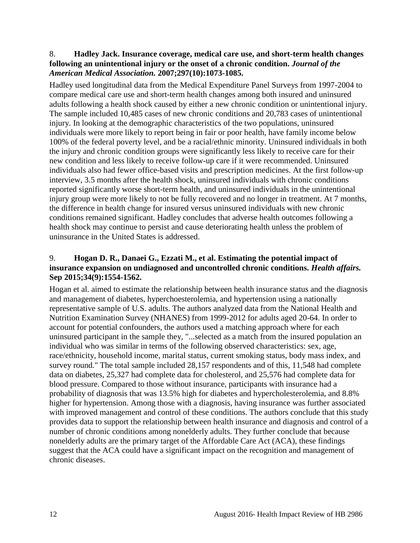#### <span id="page-13-1"></span>8. **Hadley Jack. Insurance coverage, medical care use, and short-term health changes following an unintentional injury or the onset of a chronic condition.** *Journal of the American Medical Association.* **2007;297(10):1073-1085.**

Hadley used longitudinal data from the Medical Expenditure Panel Surveys from 1997-2004 to compare medical care use and short-term health changes among both insured and uninsured adults following a health shock caused by either a new chronic condition or unintentional injury. The sample included 10,485 cases of new chronic conditions and 20,783 cases of unintentional injury. In looking at the demographic characteristics of the two populations, uninsured individuals were more likely to report being in fair or poor health, have family income below 100% of the federal poverty level, and be a racial/ethnic minority. Uninsured individuals in both the injury and chronic condition groups were significantly less likely to receive care for their new condition and less likely to receive follow-up care if it were recommended. Uninsured individuals also had fewer office-based visits and prescription medicines. At the first follow-up interview, 3.5 months after the health shock, uninsured individuals with chronic conditions reported significantly worse short-term health, and uninsured individuals in the unintentional injury group were more likely to not be fully recovered and no longer in treatment. At 7 months, the difference in health change for insured versus uninsured individuals with new chronic conditions remained significant. Hadley concludes that adverse health outcomes following a health shock may continue to persist and cause deteriorating health unless the problem of uninsurance in the United States is addressed.

## <span id="page-13-0"></span>9. **Hogan D. R., Danaei G., Ezzati M., et al. Estimating the potential impact of insurance expansion on undiagnosed and uncontrolled chronic conditions.** *Health affairs.*  **Sep 2015;34(9):1554-1562.**

Hogan et al. aimed to estimate the relationship between health insurance status and the diagnosis and management of diabetes, hyperchoesterolemia, and hypertension using a nationally representative sample of U.S. adults. The authors analyzed data from the National Health and Nutrition Examination Survey (NHANES) from 1999-2012 for adults aged 20-64. In order to account for potential confounders, the authors used a matching approach where for each uninsured participant in the sample they, "...selected as a match from the insured population an individual who was similar in terms of the following observed characteristics: sex, age, race/ethnicity, household income, marital status, current smoking status, body mass index, and survey round." The total sample included 28,157 respondents and of this, 11,548 had complete data on diabetes, 25,327 had complete data for cholesterol, and 25,576 had complete data for blood pressure. Compared to those without insurance, participants with insurance had a probability of diagnosis that was 13.5% high for diabetes and hypercholesterolemia, and 8.8% higher for hypertension. Among those with a diagnosis, having insurance was further associated with improved management and control of these conditions. The authors conclude that this study provides data to support the relationship between health insurance and diagnosis and control of a number of chronic conditions among nonelderly adults. They further conclude that because nonelderly adults are the primary target of the Affordable Care Act (ACA), these findings suggest that the ACA could have a significant impact on the recognition and management of chronic diseases.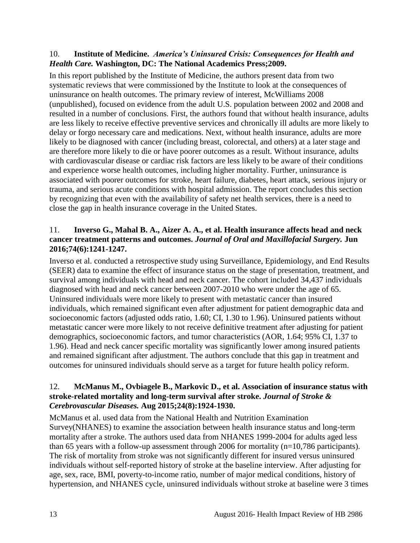#### <span id="page-14-0"></span>10. **Institute of Medicine.** *America's Uninsured Crisis: Consequences for Health and Health Care.* **Washington, DC: The National Academics Press;2009.**

In this report published by the Institute of Medicine, the authors present data from two systematic reviews that were commissioned by the Institute to look at the consequences of uninsurance on health outcomes. The primary review of interest, McWilliams 2008 (unpublished), focused on evidence from the adult U.S. population between 2002 and 2008 and resulted in a number of conclusions. First, the authors found that without health insurance, adults are less likely to receive effective preventive services and chronically ill adults are more likely to delay or forgo necessary care and medications. Next, without health insurance, adults are more likely to be diagnosed with cancer (including breast, colorectal, and others) at a later stage and are therefore more likely to die or have poorer outcomes as a result. Without insurance, adults with cardiovascular disease or cardiac risk factors are less likely to be aware of their conditions and experience worse health outcomes, including higher mortality. Further, uninsurance is associated with poorer outcomes for stroke, heart failure, diabetes, heart attack, serious injury or trauma, and serious acute conditions with hospital admission. The report concludes this section by recognizing that even with the availability of safety net health services, there is a need to close the gap in health insurance coverage in the United States.

## <span id="page-14-2"></span>11. **Inverso G., Mahal B. A., Aizer A. A., et al. Health insurance affects head and neck cancer treatment patterns and outcomes.** *Journal of Oral and Maxillofacial Surgery.* **Jun 2016;74(6):1241-1247.**

Inverso et al. conducted a retrospective study using Surveillance, Epidemiology, and End Results (SEER) data to examine the effect of insurance status on the stage of presentation, treatment, and survival among individuals with head and neck cancer. The cohort included 34,437 individuals diagnosed with head and neck cancer between 2007-2010 who were under the age of 65. Uninsured individuals were more likely to present with metastatic cancer than insured individuals, which remained significant even after adjustment for patient demographic data and socioeconomic factors (adjusted odds ratio, 1.60; CI, 1.30 to 1.96). Uninsured patients without metastatic cancer were more likely to not receive definitive treatment after adjusting for patient demographics, socioeconomic factors, and tumor characteristics (AOR, 1.64; 95% CI, 1.37 to 1.96). Head and neck cancer specific mortality was significantly lower among insured patients and remained significant after adjustment. The authors conclude that this gap in treatment and outcomes for uninsured individuals should serve as a target for future health policy reform.

## <span id="page-14-1"></span>12. **McManus M., Ovbiagele B., Markovic D., et al. Association of insurance status with stroke-related mortality and long-term survival after stroke.** *Journal of Stroke & Cerebrovascular Diseases.* **Aug 2015;24(8):1924-1930.**

McManus et al. used data from the National Health and Nutrition Examination Survey(NHANES) to examine the association between health insurance status and long-term mortality after a stroke. The authors used data from NHANES 1999-2004 for adults aged less than 65 years with a follow-up assessment through 2006 for mortality  $(n=10,786$  participants). The risk of mortality from stroke was not significantly different for insured versus uninsured individuals without self-reported history of stroke at the baseline interview. After adjusting for age, sex, race, BMI, poverty-to-income ratio, number of major medical conditions, history of hypertension, and NHANES cycle, uninsured individuals without stroke at baseline were 3 times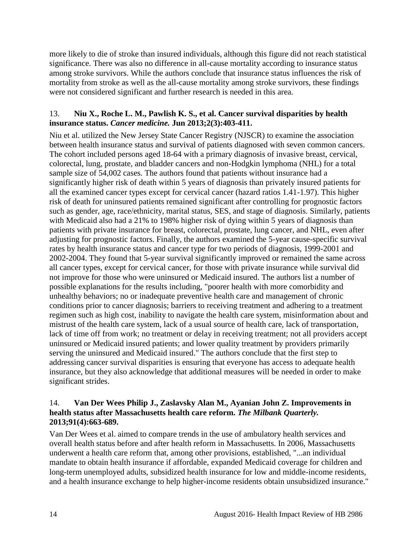more likely to die of stroke than insured individuals, although this figure did not reach statistical significance. There was also no difference in all-cause mortality according to insurance status among stroke survivors. While the authors conclude that insurance status influences the risk of mortality from stroke as well as the all-cause mortality among stroke survivors, these findings were not considered significant and further research is needed in this area.

## <span id="page-15-1"></span>13. **Niu X., Roche L. M., Pawlish K. S., et al. Cancer survival disparities by health insurance status.** *Cancer medicine.* **Jun 2013;2(3):403-411.**

Niu et al. utilized the New Jersey State Cancer Registry (NJSCR) to examine the association between health insurance status and survival of patients diagnosed with seven common cancers. The cohort included persons aged 18-64 with a primary diagnosis of invasive breast, cervical, colorectal, lung, prostate, and bladder cancers and non-Hodgkin lymphoma (NHL) for a total sample size of 54,002 cases. The authors found that patients without insurance had a significantly higher risk of death within 5 years of diagnosis than privately insured patients for all the examined cancer types except for cervical cancer (hazard ratios 1.41-1.97). This higher risk of death for uninsured patients remained significant after controlling for prognostic factors such as gender, age, race/ethnicity, marital status, SES, and stage of diagnosis. Similarly, patients with Medicaid also had a 21% to 198% higher risk of dying within 5 years of diagnosis than patients with private insurance for breast, colorectal, prostate, lung cancer, and NHL, even after adjusting for prognostic factors. Finally, the authors examined the 5-year cause-specific survival rates by health insurance status and cancer type for two periods of diagnosis, 1999-2001 and 2002-2004. They found that 5-year survival significantly improved or remained the same across all cancer types, except for cervical cancer, for those with private insurance while survival did not improve for those who were uninsured or Medicaid insured. The authors list a number of possible explanations for the results including, "poorer health with more comorbidity and unhealthy behaviors; no or inadequate preventive health care and management of chronic conditions prior to cancer diagnosis; barriers to receiving treatment and adhering to a treatment regimen such as high cost, inability to navigate the health care system, misinformation about and mistrust of the health care system, lack of a usual source of health care, lack of transportation, lack of time off from work; no treatment or delay in receiving treatment; not all providers accept uninsured or Medicaid insured patients; and lower quality treatment by providers primarily serving the uninsured and Medicaid insured." The authors conclude that the first step to addressing cancer survival disparities is ensuring that everyone has access to adequate health insurance, but they also acknowledge that additional measures will be needed in order to make significant strides.

#### <span id="page-15-0"></span>14. **Van Der Wees Philip J., Zaslavsky Alan M., Ayanian John Z. Improvements in health status after Massachusetts health care reform.** *The Milbank Quarterly.*  **2013;91(4):663-689.**

Van Der Wees et al. aimed to compare trends in the use of ambulatory health services and overall health status before and after health reform in Massachusetts. In 2006, Massachusetts underwent a health care reform that, among other provisions, established, "...an individual mandate to obtain health insurance if affordable, expanded Medicaid coverage for children and long-term unemployed adults, subsidized health insurance for low and middle-income residents, and a health insurance exchange to help higher-income residents obtain unsubsidized insurance."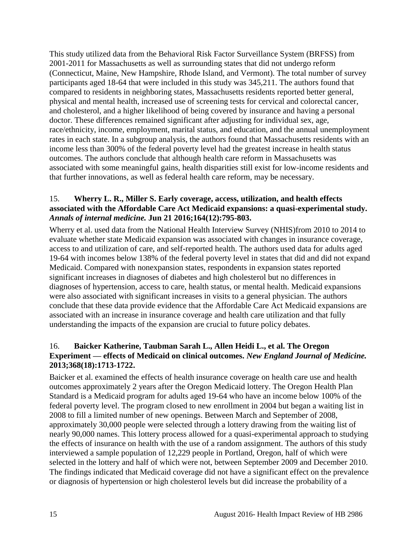This study utilized data from the Behavioral Risk Factor Surveillance System (BRFSS) from 2001-2011 for Massachusetts as well as surrounding states that did not undergo reform (Connecticut, Maine, New Hampshire, Rhode Island, and Vermont). The total number of survey participants aged 18-64 that were included in this study was 345,211. The authors found that compared to residents in neighboring states, Massachusetts residents reported better general, physical and mental health, increased use of screening tests for cervical and colorectal cancer, and cholesterol, and a higher likelihood of being covered by insurance and having a personal doctor. These differences remained significant after adjusting for individual sex, age, race/ethnicity, income, employment, marital status, and education, and the annual unemployment rates in each state. In a subgroup analysis, the authors found that Massachusetts residents with an income less than 300% of the federal poverty level had the greatest increase in health status outcomes. The authors conclude that although health care reform in Massachusetts was associated with some meaningful gains, health disparities still exist for low-income residents and that further innovations, as well as federal health care reform, may be necessary.

## <span id="page-16-1"></span>15. **Wherry L. R., Miller S. Early coverage, access, utilization, and health effects associated with the Affordable Care Act Medicaid expansions: a quasi-experimental study.**  *Annals of internal medicine.* **Jun 21 2016;164(12):795-803.**

Wherry et al. used data from the National Health Interview Survey (NHIS)from 2010 to 2014 to evaluate whether state Medicaid expansion was associated with changes in insurance coverage, access to and utilization of care, and self-reported health. The authors used data for adults aged 19-64 with incomes below 138% of the federal poverty level in states that did and did not expand Medicaid. Compared with nonexpansion states, respondents in expansion states reported significant increases in diagnoses of diabetes and high cholesterol but no differences in diagnoses of hypertension, access to care, health status, or mental health. Medicaid expansions were also associated with significant increases in visits to a general physician. The authors conclude that these data provide evidence that the Affordable Care Act Medicaid expansions are associated with an increase in insurance coverage and health care utilization and that fully understanding the impacts of the expansion are crucial to future policy debates.

## <span id="page-16-0"></span>16. **Baicker Katherine, Taubman Sarah L., Allen Heidi L., et al. The Oregon Experiment — effects of Medicaid on clinical outcomes.** *New England Journal of Medicine.*  **2013;368(18):1713-1722.**

Baicker et al. examined the effects of health insurance coverage on health care use and health outcomes approximately 2 years after the Oregon Medicaid lottery. The Oregon Health Plan Standard is a Medicaid program for adults aged 19-64 who have an income below 100% of the federal poverty level. The program closed to new enrollment in 2004 but began a waiting list in 2008 to fill a limited number of new openings. Between March and September of 2008, approximately 30,000 people were selected through a lottery drawing from the waiting list of nearly 90,000 names. This lottery process allowed for a quasi-experimental approach to studying the effects of insurance on health with the use of a random assignment. The authors of this study interviewed a sample population of 12,229 people in Portland, Oregon, half of which were selected in the lottery and half of which were not, between September 2009 and December 2010. The findings indicated that Medicaid coverage did not have a significant effect on the prevalence or diagnosis of hypertension or high cholesterol levels but did increase the probability of a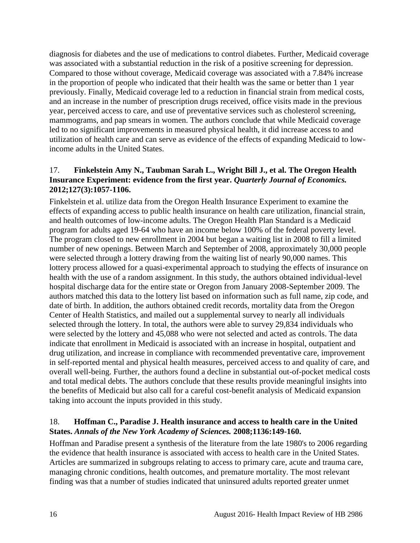diagnosis for diabetes and the use of medications to control diabetes. Further, Medicaid coverage was associated with a substantial reduction in the risk of a positive screening for depression. Compared to those without coverage, Medicaid coverage was associated with a 7.84% increase in the proportion of people who indicated that their health was the same or better than 1 year previously. Finally, Medicaid coverage led to a reduction in financial strain from medical costs, and an increase in the number of prescription drugs received, office visits made in the previous year, perceived access to care, and use of preventative services such as cholesterol screening, mammograms, and pap smears in women. The authors conclude that while Medicaid coverage led to no significant improvements in measured physical health, it did increase access to and utilization of health care and can serve as evidence of the effects of expanding Medicaid to lowincome adults in the United States.

#### <span id="page-17-1"></span>17. **Finkelstein Amy N., Taubman Sarah L., Wright Bill J., et al. The Oregon Health Insurance Experiment: evidence from the first year.** *Quarterly Journal of Economics.*  **2012;127(3):1057-1106.**

Finkelstein et al. utilize data from the Oregon Health Insurance Experiment to examine the effects of expanding access to public health insurance on health care utilization, financial strain, and health outcomes of low-income adults. The Oregon Health Plan Standard is a Medicaid program for adults aged 19-64 who have an income below 100% of the federal poverty level. The program closed to new enrollment in 2004 but began a waiting list in 2008 to fill a limited number of new openings. Between March and September of 2008, approximately 30,000 people were selected through a lottery drawing from the waiting list of nearly 90,000 names. This lottery process allowed for a quasi-experimental approach to studying the effects of insurance on health with the use of a random assignment. In this study, the authors obtained individual-level hospital discharge data for the entire state or Oregon from January 2008-September 2009. The authors matched this data to the lottery list based on information such as full name, zip code, and date of birth. In addition, the authors obtained credit records, mortality data from the Oregon Center of Health Statistics, and mailed out a supplemental survey to nearly all individuals selected through the lottery. In total, the authors were able to survey 29,834 individuals who were selected by the lottery and 45,088 who were not selected and acted as controls. The data indicate that enrollment in Medicaid is associated with an increase in hospital, outpatient and drug utilization, and increase in compliance with recommended preventative care, improvement in self-reported mental and physical health measures, perceived access to and quality of care, and overall well-being. Further, the authors found a decline in substantial out-of-pocket medical costs and total medical debts. The authors conclude that these results provide meaningful insights into the benefits of Medicaid but also call for a careful cost-benefit analysis of Medicaid expansion taking into account the inputs provided in this study.

## <span id="page-17-0"></span>18. **Hoffman C., Paradise J. Health insurance and access to health care in the United States.** *Annals of the New York Academy of Sciences.* **2008;1136:149-160.**

Hoffman and Paradise present a synthesis of the literature from the late 1980's to 2006 regarding the evidence that health insurance is associated with access to health care in the United States. Articles are summarized in subgroups relating to access to primary care, acute and trauma care, managing chronic conditions, health outcomes, and premature mortality. The most relevant finding was that a number of studies indicated that uninsured adults reported greater unmet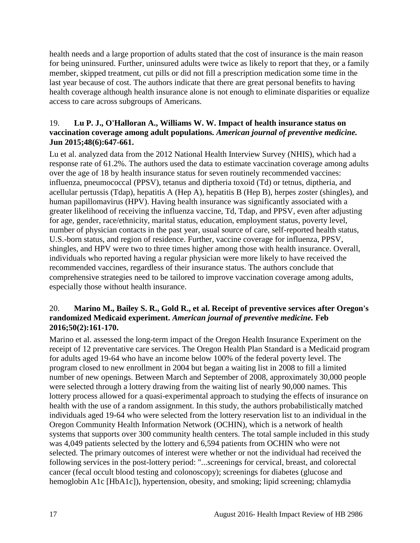health needs and a large proportion of adults stated that the cost of insurance is the main reason for being uninsured. Further, uninsured adults were twice as likely to report that they, or a family member, skipped treatment, cut pills or did not fill a prescription medication some time in the last year because of cost. The authors indicate that there are great personal benefits to having health coverage although health insurance alone is not enough to eliminate disparities or equalize access to care across subgroups of Americans.

#### <span id="page-18-0"></span>19. **Lu P. J., O'Halloran A., Williams W. W. Impact of health insurance status on vaccination coverage among adult populations.** *American journal of preventive medicine.*  **Jun 2015;48(6):647-661.**

Lu et al. analyzed data from the 2012 National Health Interview Survey (NHIS), which had a response rate of 61.2%. The authors used the data to estimate vaccination coverage among adults over the age of 18 by health insurance status for seven routinely recommended vaccines: influenza, pneumococcal (PPSV), tetanus and diptheria toxoid (Td) or tetnus, diptheria, and acellular pertussis (Tdap), hepatitis A (Hep A), hepatitis B (Hep B), herpes zoster (shingles), and human papillomavirus (HPV). Having health insurance was significantly associated with a greater likelihood of receiving the influenza vaccine, Td, Tdap, and PPSV, even after adjusting for age, gender, race/ethnicity, marital status, education, employment status, poverty level, number of physician contacts in the past year, usual source of care, self-reported health status, U.S.-born status, and region of residence. Further, vaccine coverage for influenza, PPSV, shingles, and HPV were two to three times higher among those with health insurance. Overall, individuals who reported having a regular physician were more likely to have received the recommended vaccines, regardless of their insurance status. The authors conclude that comprehensive strategies need to be tailored to improve vaccination coverage among adults, especially those without health insurance.

#### <span id="page-18-1"></span>20. **Marino M., Bailey S. R., Gold R., et al. Receipt of preventive services after Oregon's randomized Medicaid experiment.** *American journal of preventive medicine.* **Feb 2016;50(2):161-170.**

Marino et al. assessed the long-term impact of the Oregon Health Insurance Experiment on the receipt of 12 preventative care services. The Oregon Health Plan Standard is a Medicaid program for adults aged 19-64 who have an income below 100% of the federal poverty level. The program closed to new enrollment in 2004 but began a waiting list in 2008 to fill a limited number of new openings. Between March and September of 2008, approximately 30,000 people were selected through a lottery drawing from the waiting list of nearly 90,000 names. This lottery process allowed for a quasi-experimental approach to studying the effects of insurance on health with the use of a random assignment. In this study, the authors probabilistically matched individuals aged 19-64 who were selected from the lottery reservation list to an individual in the Oregon Community Health Information Network (OCHIN), which is a network of health systems that supports over 300 community health centers. The total sample included in this study was 4,049 patients selected by the lottery and 6,594 patients from OCHIN who were not selected. The primary outcomes of interest were whether or not the individual had received the following services in the post-lottery period: "...screenings for cervical, breast, and colorectal cancer (fecal occult blood testing and colonoscopy); screenings for diabetes (glucose and hemoglobin A1c [HbA1c]), hypertension, obesity, and smoking; lipid screening; chlamydia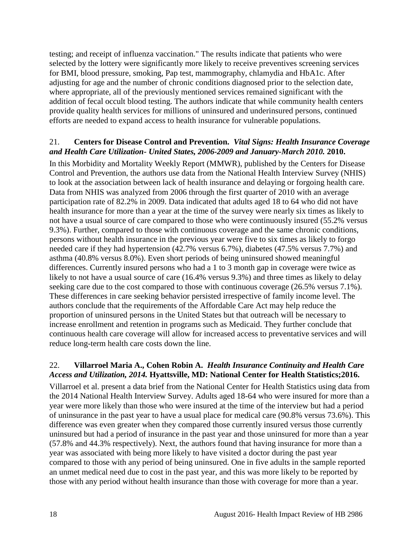testing; and receipt of influenza vaccination." The results indicate that patients who were selected by the lottery were significantly more likely to receive preventives screening services for BMI, blood pressure, smoking, Pap test, mammography, chlamydia and HbA1c. After adjusting for age and the number of chronic conditions diagnosed prior to the selection date, where appropriate, all of the previously mentioned services remained significant with the addition of fecal occult blood testing. The authors indicate that while community health centers provide quality health services for millions of uninsured and underinsured persons, continued efforts are needed to expand access to health insurance for vulnerable populations.

#### <span id="page-19-1"></span>21. **Centers for Disease Control and Prevention.** *Vital Signs: Health Insurance Coverage and Health Care Utilization- United States, 2006-2009 and January-March 2010.* **2010.**

In this Morbidity and Mortality Weekly Report (MMWR), published by the Centers for Disease Control and Prevention, the authors use data from the National Health Interview Survey (NHIS) to look at the association between lack of health insurance and delaying or forgoing health care. Data from NHIS was analyzed from 2006 through the first quarter of 2010 with an average participation rate of 82.2% in 2009. Data indicated that adults aged 18 to 64 who did not have health insurance for more than a year at the time of the survey were nearly six times as likely to not have a usual source of care compared to those who were continuously insured (55.2% versus 9.3%). Further, compared to those with continuous coverage and the same chronic conditions, persons without health insurance in the previous year were five to six times as likely to forgo needed care if they had hypertension (42.7% versus 6.7%), diabetes (47.5% versus 7.7%) and asthma (40.8% versus 8.0%). Even short periods of being uninsured showed meaningful differences. Currently insured persons who had a 1 to 3 month gap in coverage were twice as likely to not have a usual source of care (16.4% versus 9.3%) and three times as likely to delay seeking care due to the cost compared to those with continuous coverage (26.5% versus 7.1%). These differences in care seeking behavior persisted irrespective of family income level. The authors conclude that the requirements of the Affordable Care Act may help reduce the proportion of uninsured persons in the United States but that outreach will be necessary to increase enrollment and retention in programs such as Medicaid. They further conclude that continuous health care coverage will allow for increased access to preventative services and will reduce long-term health care costs down the line.

## <span id="page-19-0"></span>22. **Villarroel Maria A., Cohen Robin A.** *Health Insurance Continuity and Health Care Access and Utilization, 2014.* **Hyattsville, MD: National Center for Health Statistics;2016.**

Villarroel et al. present a data brief from the National Center for Health Statistics using data from the 2014 National Health Interview Survey. Adults aged 18-64 who were insured for more than a year were more likely than those who were insured at the time of the interview but had a period of uninsurance in the past year to have a usual place for medical care (90.8% versus 73.6%). This difference was even greater when they compared those currently insured versus those currently uninsured but had a period of insurance in the past year and those uninsured for more than a year (57.8% and 44.3% respectively). Next, the authors found that having insurance for more than a year was associated with being more likely to have visited a doctor during the past year compared to those with any period of being uninsured. One in five adults in the sample reported an unmet medical need due to cost in the past year, and this was more likely to be reported by those with any period without health insurance than those with coverage for more than a year.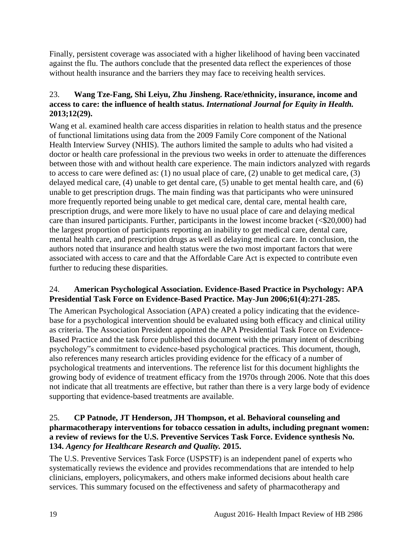Finally, persistent coverage was associated with a higher likelihood of having been vaccinated against the flu. The authors conclude that the presented data reflect the experiences of those without health insurance and the barriers they may face to receiving health services.

# <span id="page-20-1"></span>23. **Wang Tze-Fang, Shi Leiyu, Zhu Jinsheng. Race/ethnicity, insurance, income and access to care: the influence of health status.** *International Journal for Equity in Health.*  **2013;12(29).**

Wang et al. examined health care access disparities in relation to health status and the presence of functional limitations using data from the 2009 Family Core component of the National Health Interview Survey (NHIS). The authors limited the sample to adults who had visited a doctor or health care professional in the previous two weeks in order to attenuate the differences between those with and without health care experience. The main indictors analyzed with regards to access to care were defined as: (1) no usual place of care, (2) unable to get medical care, (3) delayed medical care, (4) unable to get dental care, (5) unable to get mental health care, and (6) unable to get prescription drugs. The main finding was that participants who were uninsured more frequently reported being unable to get medical care, dental care, mental health care, prescription drugs, and were more likely to have no usual place of care and delaying medical care than insured participants. Further, participants in the lowest income bracket (<\$20,000) had the largest proportion of participants reporting an inability to get medical care, dental care, mental health care, and prescription drugs as well as delaying medical care. In conclusion, the authors noted that insurance and health status were the two most important factors that were associated with access to care and that the Affordable Care Act is expected to contribute even further to reducing these disparities.

## <span id="page-20-0"></span>24. **American Psychological Association. Evidence-Based Practice in Psychology: APA Presidential Task Force on Evidence-Based Practice. May-Jun 2006;61(4):271-285.**

The American Psychological Association (APA) created a policy indicating that the evidencebase for a psychological intervention should be evaluated using both efficacy and clinical utility as criteria. The Association President appointed the APA Presidential Task Force on Evidence-Based Practice and the task force published this document with the primary intent of describing psychology"s commitment to evidence-based psychological practices. This document, though, also references many research articles providing evidence for the efficacy of a number of psychological treatments and interventions. The reference list for this document highlights the growing body of evidence of treatment efficacy from the 1970s through 2006. Note that this does not indicate that all treatments are effective, but rather than there is a very large body of evidence supporting that evidence-based treatments are available.

#### <span id="page-20-2"></span>25. **CP Patnode, JT Henderson, JH Thompson, et al. Behavioral counseling and pharmacotherapy interventions for tobacco cessation in adults, including pregnant women: a review of reviews for the U.S. Preventive Services Task Force. Evidence synthesis No. 134.** *Agency for Healthcare Research and Quality.* **2015.**

The U.S. Preventive Services Task Force (USPSTF) is an independent panel of experts who systematically reviews the evidence and provides recommendations that are intended to help clinicians, employers, policymakers, and others make informed decisions about health care services. This summary focused on the effectiveness and safety of pharmacotherapy and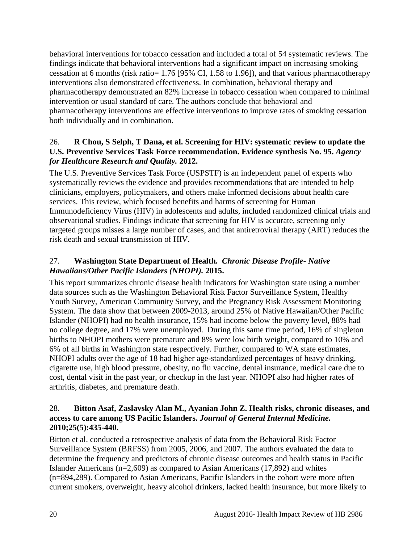behavioral interventions for tobacco cessation and included a total of 54 systematic reviews. The findings indicate that behavioral interventions had a significant impact on increasing smoking cessation at 6 months (risk ratio= 1.76 [95% CI, 1.58 to 1.96]), and that various pharmacotherapy interventions also demonstrated effectiveness. In combination, behavioral therapy and pharmacotherapy demonstrated an 82% increase in tobacco cessation when compared to minimal intervention or usual standard of care. The authors conclude that behavioral and pharmacotherapy interventions are effective interventions to improve rates of smoking cessation both individually and in combination.

## <span id="page-21-1"></span>26. **R Chou, S Selph, T Dana, et al. Screening for HIV: systematic review to update the U.S. Preventive Services Task Force recommendation. Evidence synthesis No. 95.** *Agency for Healthcare Research and Quality.* **2012.**

The U.S. Preventive Services Task Force (USPSTF) is an independent panel of experts who systematically reviews the evidence and provides recommendations that are intended to help clinicians, employers, policymakers, and others make informed decisions about health care services. This review, which focused benefits and harms of screening for Human Immunodeficiency Virus (HIV) in adolescents and adults, included randomized clinical trials and observational studies. Findings indicate that screening for HIV is accurate, screening only targeted groups misses a large number of cases, and that antiretroviral therapy (ART) reduces the risk death and sexual transmission of HIV.

# <span id="page-21-0"></span>27. **Washington State Department of Health.** *Chronic Disease Profile- Native Hawaiians/Other Pacific Islanders (NHOPI).* **2015.**

This report summarizes chronic disease health indicators for Washington state using a number data sources such as the Washington Behavioral Risk Factor Surveillance System, Healthy Youth Survey, American Community Survey, and the Pregnancy Risk Assessment Monitoring System. The data show that between 2009-2013, around 25% of Native Hawaiian/Other Pacific Islander (NHOPI) had no health insurance, 15% had income below the poverty level, 88% had no college degree, and 17% were unemployed. During this same time period, 16% of singleton births to NHOPI mothers were premature and 8% were low birth weight, compared to 10% and 6% of all births in Washington state respectively. Further, compared to WA state estimates, NHOPI adults over the age of 18 had higher age-standardized percentages of heavy drinking, cigarette use, high blood pressure, obesity, no flu vaccine, dental insurance, medical care due to cost, dental visit in the past year, or checkup in the last year. NHOPI also had higher rates of arthritis, diabetes, and premature death.

## <span id="page-21-2"></span>28. **Bitton Asaf, Zaslavsky Alan M., Ayanian John Z. Health risks, chronic diseases, and access to care among US Pacific Islanders.** *Journal of General Internal Medicine.*  **2010;25(5):435-440.**

Bitton et al. conducted a retrospective analysis of data from the Behavioral Risk Factor Surveillance System (BRFSS) from 2005, 2006, and 2007. The authors evaluated the data to determine the frequency and predictors of chronic disease outcomes and health status in Pacific Islander Americans (n=2,609) as compared to Asian Americans (17,892) and whites (n=894,289). Compared to Asian Americans, Pacific Islanders in the cohort were more often current smokers, overweight, heavy alcohol drinkers, lacked health insurance, but more likely to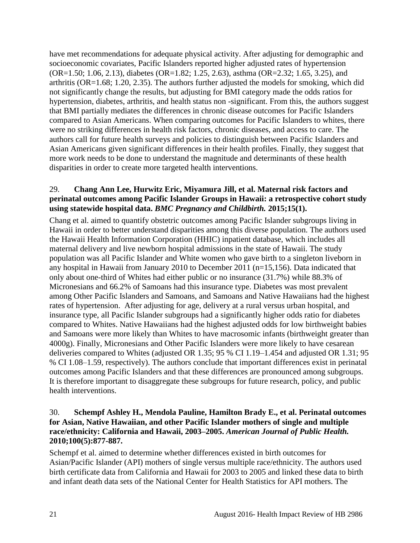have met recommendations for adequate physical activity. After adjusting for demographic and socioeconomic covariates, Pacific Islanders reported higher adjusted rates of hypertension (OR=1.50; 1.06, 2.13), diabetes (OR=1.82; 1.25, 2.63), asthma (OR=2.32; 1.65, 3.25), and arthritis (OR=1.68; 1.20, 2.35). The authors further adjusted the models for smoking, which did not significantly change the results, but adjusting for BMI category made the odds ratios for hypertension, diabetes, arthritis, and health status non -significant. From this, the authors suggest that BMI partially mediates the differences in chronic disease outcomes for Pacific Islanders compared to Asian Americans. When comparing outcomes for Pacific Islanders to whites, there were no striking differences in health risk factors, chronic diseases, and access to care. The authors call for future health surveys and policies to distinguish between Pacific Islanders and Asian Americans given significant differences in their health profiles. Finally, they suggest that more work needs to be done to understand the magnitude and determinants of these health disparities in order to create more targeted health interventions.

#### <span id="page-22-0"></span>29. **Chang Ann Lee, Hurwitz Eric, Miyamura Jill, et al. Maternal risk factors and perinatal outcomes among Pacific Islander Groups in Hawaii: a retrospective cohort study using statewide hospital data.** *BMC Pregnancy and Childbirth.* **2015;15(1).**

Chang et al. aimed to quantify obstetric outcomes among Pacific Islander subgroups living in Hawaii in order to better understand disparities among this diverse population. The authors used the Hawaii Health Information Corporation (HHIC) inpatient database, which includes all maternal delivery and live newborn hospital admissions in the state of Hawaii. The study population was all Pacific Islander and White women who gave birth to a singleton liveborn in any hospital in Hawaii from January 2010 to December 2011 (n=15,156). Data indicated that only about one-third of Whites had either public or no insurance (31.7%) while 88.3% of Micronesians and 66.2% of Samoans had this insurance type. Diabetes was most prevalent among Other Pacific Islanders and Samoans, and Samoans and Native Hawaiians had the highest rates of hypertension. After adjusting for age, delivery at a rural versus urban hospital, and insurance type, all Pacific Islander subgroups had a significantly higher odds ratio for diabetes compared to Whites. Native Hawaiians had the highest adjusted odds for low birthweight babies and Samoans were more likely than Whites to have macrosomic infants (birthweight greater than 4000g). Finally, Micronesians and Other Pacific Islanders were more likely to have cesarean deliveries compared to Whites (adjusted OR 1.35; 95 % CI 1.19–1.454 and adjusted OR 1.31; 95 % CI 1.08–1.59, respectively). The authors conclude that important differences exist in perinatal outcomes among Pacific Islanders and that these differences are pronounced among subgroups. It is therefore important to disaggregate these subgroups for future research, policy, and public health interventions.

#### <span id="page-22-1"></span>30. **Schempf Ashley H., Mendola Pauline, Hamilton Brady E., et al. Perinatal outcomes for Asian, Native Hawaiian, and other Pacific Islander mothers of single and multiple race/ethnicity: California and Hawaii, 2003–2005.** *American Journal of Public Health.*  **2010;100(5):877-887.**

Schempf et al. aimed to determine whether differences existed in birth outcomes for Asian/Pacific Islander (API) mothers of single versus multiple race/ethnicity. The authors used birth certificate data from California and Hawaii for 2003 to 2005 and linked these data to birth and infant death data sets of the National Center for Health Statistics for API mothers. The